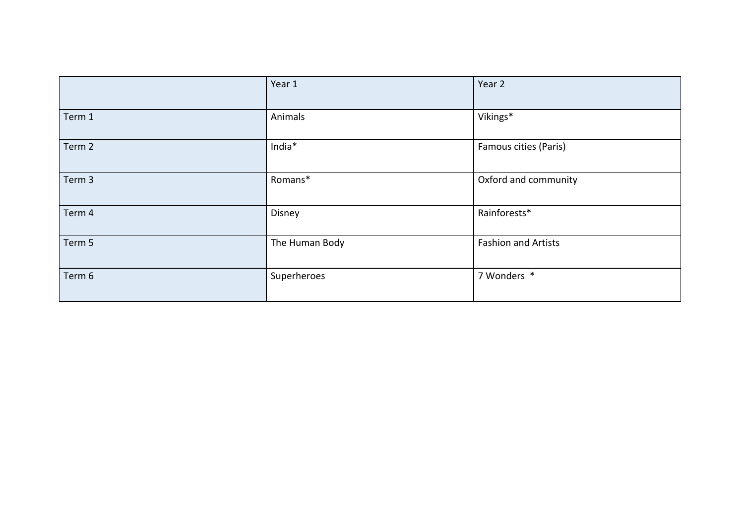|        | Year 1         | Year 2                     |
|--------|----------------|----------------------------|
| Term 1 | Animals        | Vikings*                   |
| Term 2 | India*         | Famous cities (Paris)      |
| Term 3 | Romans*        | Oxford and community       |
| Term 4 | Disney         | Rainforests*               |
| Term 5 | The Human Body | <b>Fashion and Artists</b> |
| Term 6 | Superheroes    | 7 Wonders *                |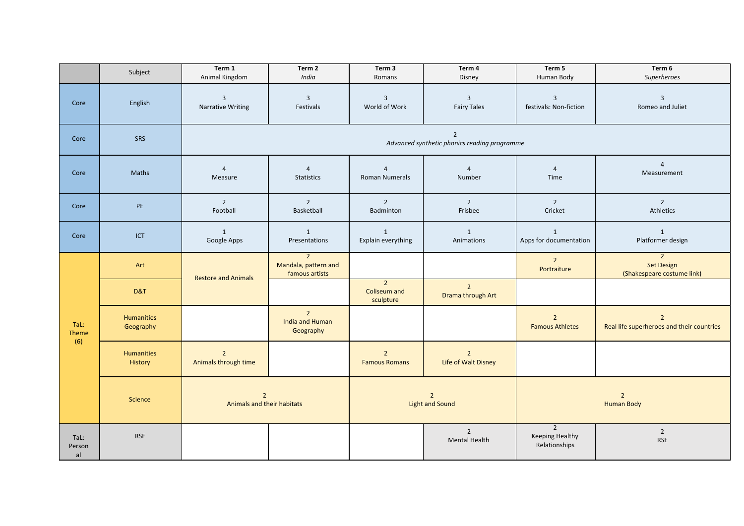|                      | Subject                        | Term 1<br>Animal Kingdom                                       | Term 2<br>India                                          | Term 3<br>Romans                            | Term 4<br>Disney                       | Term 5<br>Human Body                                      | Term 6<br>Superheroes                                             |  |
|----------------------|--------------------------------|----------------------------------------------------------------|----------------------------------------------------------|---------------------------------------------|----------------------------------------|-----------------------------------------------------------|-------------------------------------------------------------------|--|
| Core                 | English                        | $\overline{3}$<br>Narrative Writing                            | $\overline{3}$<br>Festivals                              | $\overline{3}$<br>World of Work             | $\overline{3}$<br><b>Fairy Tales</b>   | $\overline{3}$<br>festivals: Non-fiction                  | $\overline{3}$<br>Romeo and Juliet                                |  |
| Core                 | <b>SRS</b>                     | $\overline{2}$<br>Advanced synthetic phonics reading programme |                                                          |                                             |                                        |                                                           |                                                                   |  |
| Core                 | Maths                          | $\overline{4}$<br>Measure                                      | $\overline{4}$<br><b>Statistics</b>                      | $\overline{4}$<br>Roman Numerals            | $\overline{4}$<br>Number               | $\overline{4}$<br>Time                                    | $\overline{4}$<br>Measurement                                     |  |
| Core                 | PE                             | $\overline{2}$<br>Football                                     | $\overline{2}$<br>Basketball                             | $\overline{2}$<br>Badminton                 | $\overline{2}$<br>Frisbee              | $\overline{2}$<br>Cricket                                 | $\overline{2}$<br>Athletics                                       |  |
| Core                 | ICT                            | 1<br>Google Apps                                               | 1<br>Presentations                                       | $\mathbf{1}$<br>Explain everything          | $\mathbf{1}$<br>Animations             | 1<br>Apps for documentation                               | $\mathbf{1}$<br>Platformer design                                 |  |
| TaL:<br>Theme<br>(6) | Art                            | <b>Restore and Animals</b>                                     | $\overline{2}$<br>Mandala, pattern and<br>famous artists |                                             |                                        | $2^{\circ}$<br>Portraiture                                | $\overline{2}$<br><b>Set Design</b><br>(Shakespeare costume link) |  |
|                      | D&T                            |                                                                |                                                          | $\overline{2}$<br>Coliseum and<br>sculpture | $2^{\circ}$<br>Drama through Art       |                                                           |                                                                   |  |
|                      | <b>Humanities</b><br>Geography |                                                                | $\overline{2}$<br>India and Human<br>Geography           |                                             |                                        | $\overline{2}$<br><b>Famous Athletes</b>                  | $\overline{2}$<br>Real life superheroes and their countries       |  |
|                      | Humanities<br>History          | $\overline{2}$<br>Animals through time                         |                                                          | $\overline{2}$<br><b>Famous Romans</b>      | $\overline{2}$<br>Life of Walt Disney  |                                                           |                                                                   |  |
|                      | Science                        | $2^{\circ}$<br>Animals and their habitats                      |                                                          | $\overline{2}$<br><b>Light and Sound</b>    |                                        | $\overline{2}$<br><b>Human Body</b>                       |                                                                   |  |
| TaL:<br>Person<br>al | <b>RSE</b>                     |                                                                |                                                          |                                             | $\overline{2}$<br><b>Mental Health</b> | $\overline{2}$<br><b>Keeping Healthy</b><br>Relationships | $\overline{2}$<br><b>RSE</b>                                      |  |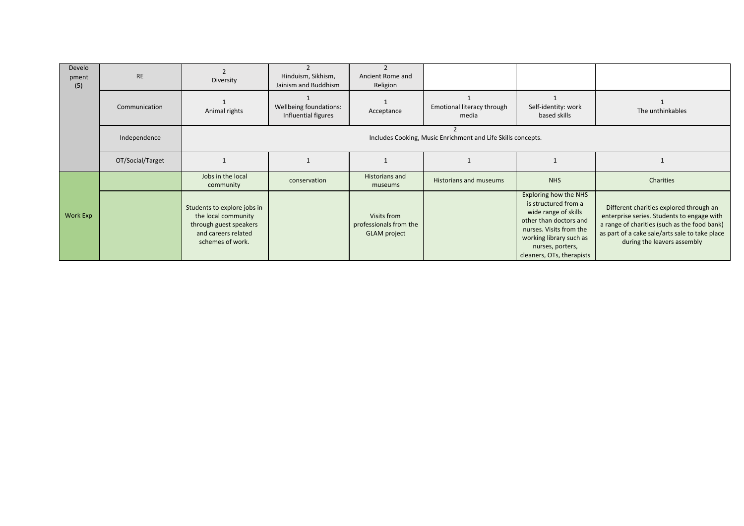| Develo<br>pment<br>(5) | <b>RE</b>        | Diversity                                                                                                               | Hinduism, Sikhism,<br>Jainism and Buddhism    | Ancient Rome and<br>Religion                                 |                                                              |                                                                                                                                                                                                        |                                                                                                                                                                                                                        |
|------------------------|------------------|-------------------------------------------------------------------------------------------------------------------------|-----------------------------------------------|--------------------------------------------------------------|--------------------------------------------------------------|--------------------------------------------------------------------------------------------------------------------------------------------------------------------------------------------------------|------------------------------------------------------------------------------------------------------------------------------------------------------------------------------------------------------------------------|
|                        | Communication    | Animal rights                                                                                                           | Wellbeing foundations:<br>Influential figures | Acceptance                                                   | Emotional literacy through<br>media                          | Self-identity: work<br>based skills                                                                                                                                                                    | The unthinkables                                                                                                                                                                                                       |
|                        | Independence     |                                                                                                                         |                                               |                                                              | Includes Cooking, Music Enrichment and Life Skills concepts. |                                                                                                                                                                                                        |                                                                                                                                                                                                                        |
|                        | OT/Social/Target |                                                                                                                         |                                               |                                                              |                                                              |                                                                                                                                                                                                        |                                                                                                                                                                                                                        |
|                        |                  | Jobs in the local<br>community                                                                                          | conservation                                  | Historians and<br>museums                                    | Historians and museums                                       | <b>NHS</b>                                                                                                                                                                                             | Charities                                                                                                                                                                                                              |
| Work Exp               |                  | Students to explore jobs in<br>the local community<br>through guest speakers<br>and careers related<br>schemes of work. |                                               | Visits from<br>professionals from the<br><b>GLAM</b> project |                                                              | Exploring how the NHS<br>is structured from a<br>wide range of skills<br>other than doctors and<br>nurses. Visits from the<br>working library such as<br>nurses, porters,<br>cleaners, OTs, therapists | Different charities explored through an<br>enterprise series. Students to engage with<br>a range of charities (such as the food bank)<br>as part of a cake sale/arts sale to take place<br>during the leavers assembly |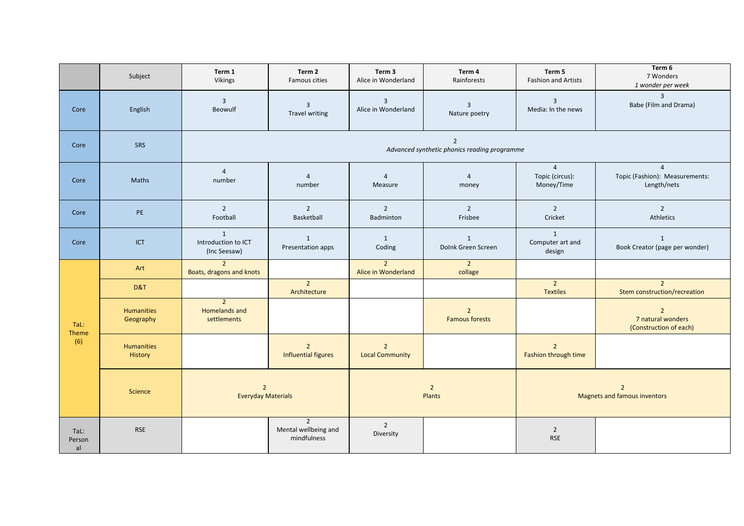|                      | Subject                        | Term 1<br>Vikings                                              | Term 2<br>Famous cities                      | Term 3<br>Alice in Wonderland         | Term 4<br>Rainforests                   | Term 5<br><b>Fashion and Artists</b>            | Term 6<br>7 Wonders<br>1 wonder per week                        |  |
|----------------------|--------------------------------|----------------------------------------------------------------|----------------------------------------------|---------------------------------------|-----------------------------------------|-------------------------------------------------|-----------------------------------------------------------------|--|
| Core                 | English                        | $\overline{3}$<br>Beowulf                                      | $\overline{3}$<br>Travel writing             | $\overline{3}$<br>Alice in Wonderland | $\overline{3}$<br>Nature poetry         | $\overline{3}$<br>Media: In the news            | $\overline{3}$<br>Babe (Film and Drama)                         |  |
| Core                 | SRS                            | $\overline{2}$<br>Advanced synthetic phonics reading programme |                                              |                                       |                                         |                                                 |                                                                 |  |
| Core                 | Maths                          | $\overline{4}$<br>number                                       | $\overline{4}$<br>number                     | $\overline{4}$<br>Measure             | $\overline{4}$<br>money                 | $\overline{4}$<br>Topic (circus):<br>Money/Time | $\overline{4}$<br>Topic (Fashion): Measurements:<br>Length/nets |  |
| Core                 | PE                             | $\overline{2}$<br>Football                                     | $\overline{2}$<br>Basketball                 | $\overline{2}$<br>Badminton           | $\overline{2}$<br>Frisbee               | $\overline{2}$<br>Cricket                       | $\overline{2}$<br>Athletics                                     |  |
| Core                 | ICT                            | $\mathbf{1}$<br>Introduction to ICT<br>(Inc Seesaw)            | 1<br>Presentation apps                       | $\mathbf{1}$<br>Coding                | 1<br>Dolnk Green Screen                 | 1<br>Computer art and<br>design                 | $\mathbf{1}$<br>Book Creator (page per wonder)                  |  |
| TaL:<br>Theme<br>(6) | Art                            | $\overline{2}$<br>Boats, dragons and knots                     |                                              | $\overline{2}$<br>Alice in Wonderland | $\overline{2}$<br>collage               |                                                 |                                                                 |  |
|                      | D&T                            |                                                                | $\overline{2}$<br>Architecture               |                                       |                                         | $\overline{2}$<br><b>Textiles</b>               | $\overline{2}$<br>Stem construction/recreation                  |  |
|                      | <b>Humanities</b><br>Geography | $\overline{2}$<br>Homelands and<br>settlements                 |                                              |                                       | $\overline{2}$<br><b>Famous forests</b> |                                                 | $\overline{2}$<br>7 natural wonders<br>(Construction of each)   |  |
|                      | <b>Humanities</b><br>History   |                                                                | $\overline{2}$<br><b>Influential figures</b> | $2^{\circ}$<br><b>Local Community</b> |                                         | $\overline{2}$<br>Fashion through time          |                                                                 |  |
|                      | <b>Science</b>                 | $\overline{2}$<br><b>Everyday Materials</b>                    |                                              | $\overline{2}$<br>Plants              |                                         |                                                 | $\overline{2}$<br><b>Magnets and famous inventors</b>           |  |
| TaL:<br>Person<br>al | <b>RSE</b>                     |                                                                | 2<br>Mental wellbeing and<br>mindfulness     | $\overline{2}$<br>Diversity           |                                         | $\overline{2}$<br><b>RSE</b>                    |                                                                 |  |